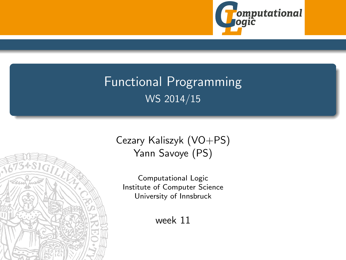

# <span id="page-0-0"></span>Functional Programming WS 2014/15



Computational Logic Institute of Computer Science University of Innsbruck

week 11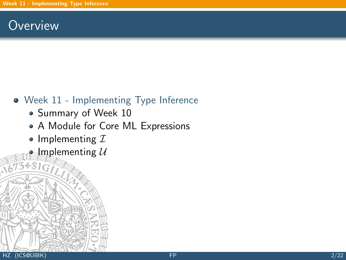## <span id="page-1-0"></span>**Overview**

## [Week 11 - Implementing Type Inference](#page-1-0)

- [Summary of Week 10](#page-2-0)
- [A Module for Core ML Expressions](#page-14-0)
- [Implementing](#page-19-0)  $I$
- [Implementing](#page-30-0)  $U$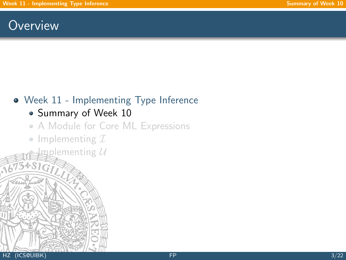## <span id="page-2-0"></span>**Overview**

## [Week 11 - Implementing Type Inference](#page-1-0)

## • [Summary of Week 10](#page-2-0)

## [A Module for Core ML Expressions](#page-14-0)

• [Implementing](#page-19-0)  $I$ 

 ${\tt gplemening\ }{\cal U}$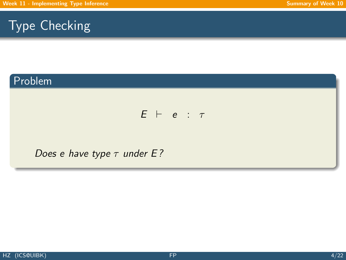## Problem

### $E$   $\vdash$  e :  $\tau$

#### Does e have type  $\tau$  under E?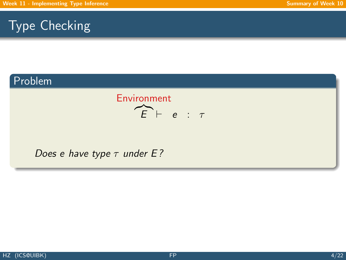## Problem



Does e have type  $\tau$  under E?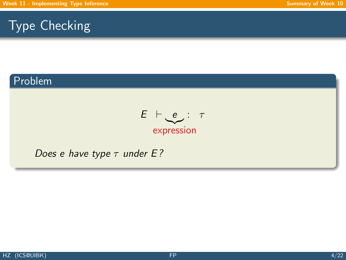### Problem

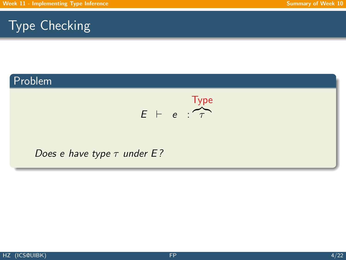### Problem

$$
E + e : \overbrace{\tau}^{\text{Type}}
$$

#### Does e have type  $\tau$  under E?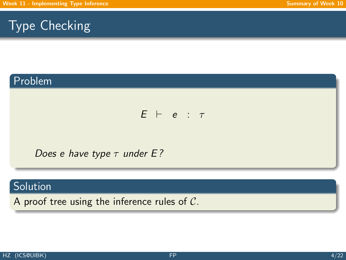## Problem

#### $E$   $\vdash$  e :  $\tau$

Does e have type  $\tau$  under E?

### **Solution**

A proof tree using the inference rules of C.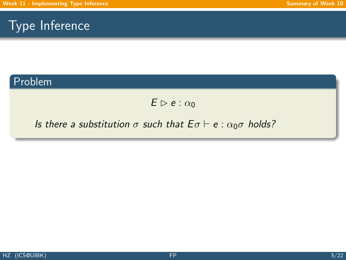#### Problem

 $E \triangleright e : \alpha_0$ 

#### Is there a substitution  $\sigma$  such that  $E \sigma \vdash e : \alpha_0 \sigma$  holds?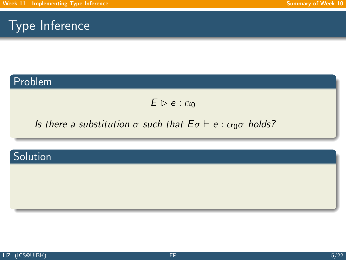#### Problem

 $E \triangleright e : \alpha_0$ 

### Is there a substitution  $\sigma$  such that  $E \sigma \vdash e : \alpha_0 \sigma$  holds?

## Solution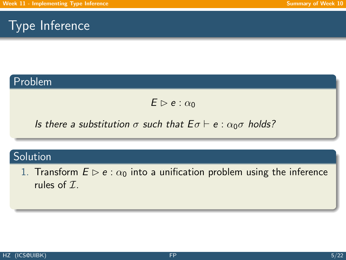### Problem

 $E \triangleright e : \alpha_0$ 

Is there a substitution  $\sigma$  such that  $E \sigma \vdash e : \alpha_0 \sigma$  holds?

## **Solution**

1. Transform  $E \triangleright e : \alpha_0$  into a unification problem using the inference rules of  $\mathcal{I}$ .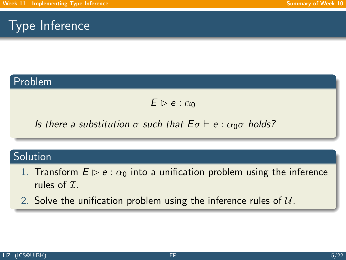### Problem

 $E \triangleright e : \alpha_0$ 

Is there a substitution  $\sigma$  such that  $E \sigma \vdash e : \alpha_0 \sigma$  holds?

#### Solution

- 1. Transform  $E \triangleright e : \alpha_0$  into a unification problem using the inference rules of  $\mathcal{I}$ .
- 2. Solve the unification problem using the inference rules of  $U$ .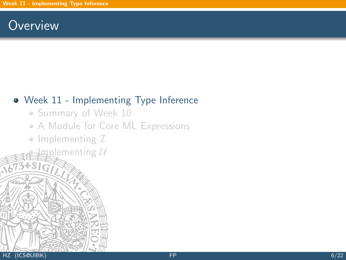## **Overview**

## [Week 11 - Implementing Type Inference](#page-1-0)

- [Summary of Week 10](#page-2-0)
- [A Module for Core ML Expressions](#page-14-0)
- [Implementing](#page-19-0)  $I$

 $\operatorname{Lip}$ ementing  $\operatorname{\mathcal{U}}$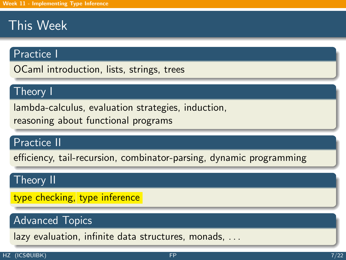# This Week

#### Practice I

OCaml introduction, lists, strings, trees

### Theory I

lambda-calculus, evaluation strategies, induction, reasoning about functional programs

### Practice II

efficiency, tail-recursion, combinator-parsing, dynamic programming

#### Theory II

type checking, type inference

### Advanced Topics

lazy evaluation, infinite data structures, monads, . . .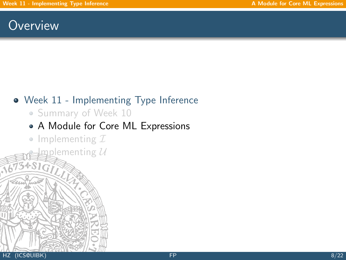## <span id="page-14-0"></span>**Overview**

## [Week 11 - Implementing Type Inference](#page-1-0)

• [Summary of Week 10](#page-2-0)

## [A Module for Core ML Expressions](#page-14-0)

• [Implementing](#page-19-0)  $I$ 

 $m$ pplementing  $\mathcal U$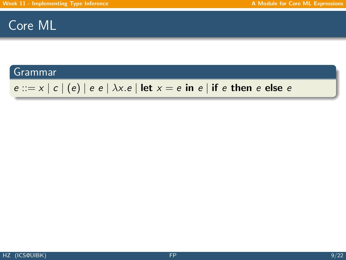## Core ML

#### Grammar

## $e ::= x | c | (e) | e e | \lambda x.e |$  let  $x = e$  in  $e |$  if e then e else e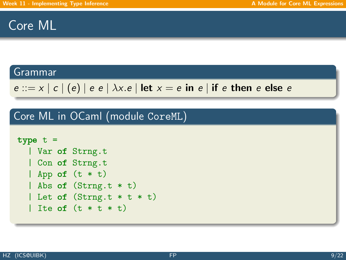## Core ML

#### Grammar

```
e ::= x | c | (e) | e e | \lambda x.e | \text{let } x = e \text{ in } e | \text{ if } e \text{ then } e \text{ else } e
```
Core ML in OCaml (module CoreML)

```
type t =| Var of Strng.t
  | Con of Strng.t
  | App of (t * t)| Abs of (Strng.t * t)
  | Let of (Strng.t * t * t)| Ite of (t * t * t)
```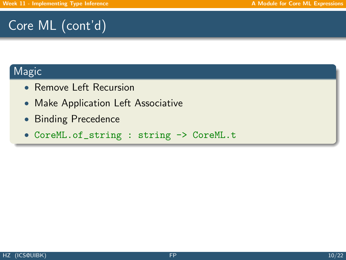# Core ML (cont'd)

### Magic

- Remove Left Recursion
- Make Application Left Associative
- Binding Precedence
- CoreML.of\_string : string -> CoreML.t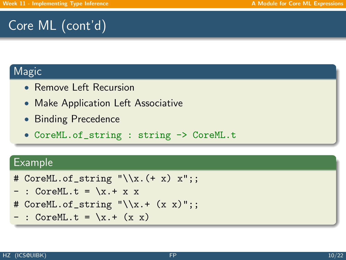# Core ML (cont'd)

### **Magic**

- Remove Left Recursion
- Make Application Left Associative
- Binding Precedence
- CoreML.of\_string : string -> CoreML.t

### Example

- # CoreML.of\_string  $"\\x.(+ x) x";$
- $-$  : CoreML.t =  $x + x$
- # CoreML.of\_string  $"\\x.+ (x x)":;$
- $-$  : CoreML.t =  $\x + (x x)$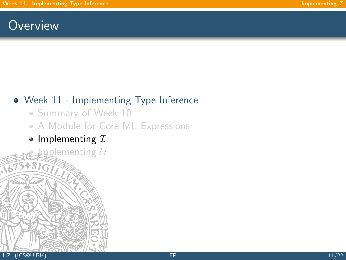## <span id="page-19-0"></span>**Overview**

## [Week 11 - Implementing Type Inference](#page-1-0)

- [Summary of Week 10](#page-2-0)
- [A Module for Core ML Expressions](#page-14-0)
- [Implementing](#page-19-0)  $I$

 $\mathbf{n}_1$ plementing  $\mathcal U$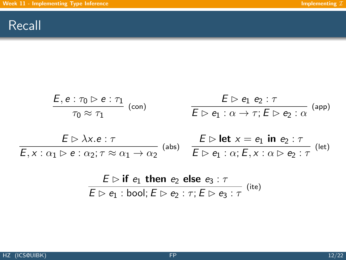## Recall

$$
\frac{E, e: \tau_0 \triangleright e: \tau_1}{\tau_0 \approx \tau_1} \text{ (con)} \qquad \qquad \frac{E \triangleright e_1 \cdot e_2 : \tau}{E \triangleright e_1 : \alpha \to \tau; E \triangleright e_2 : \alpha} \text{ (app)}
$$
\n
$$
\frac{E \triangleright \lambda x. e: \tau}{E, x: \alpha_1 \triangleright e: \alpha_2; \tau \approx \alpha_1 \to \alpha_2} \text{ (abs)} \qquad \frac{E \triangleright \text{let } x = e_1 \text{ in } e_2 : \tau}{E \triangleright e_1 : \alpha; E, x: \alpha \triangleright e_2 : \tau} \text{ (let)}
$$

$$
\frac{E \rhd \textbf{if } e_1 \textbf{ then } e_2 \textbf{ else } e_3 : \tau}{E \rhd e_1 : \textbf{bool}; E \rhd e_2 : \tau; E \rhd e_3 : \tau} \text{ (ite)}
$$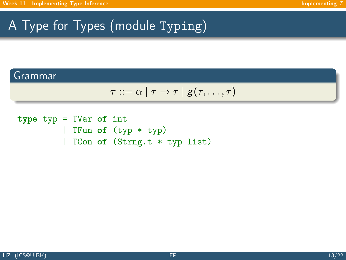# A Type for Types (module Typing)

### Grammar

$$
\tau ::= \alpha \mid \tau \rightarrow \tau \mid g(\tau, \ldots, \tau)
$$

type typ = TVar of int | TFun of (typ \* typ) | TCon of (Strng.t \* typ list)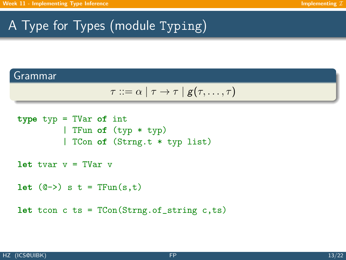# A Type for Types (module Typing)

#### Grammar

$$
\tau ::= \alpha \mid \tau \rightarrow \tau \mid g(\tau, \ldots, \tau)
$$

```
type typ = TVar of int
         | TFun of (typ * typ)
         | TCon of (Strng.t * typ list)
let tvar v = TVar v
let (0\rightarrow) s t = TFun(s,t)let tcon c ts = TCon(String.c.f_s, ts)
```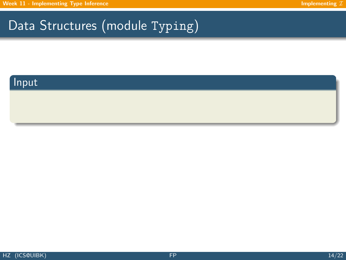### Input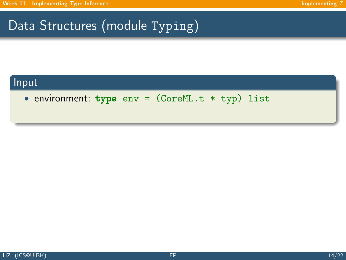### Input

• environment: type env = (CoreML.t \* typ) list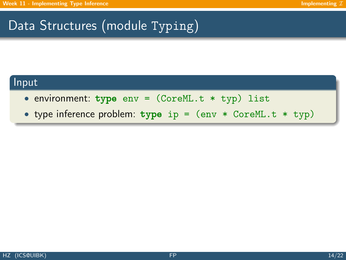#### Input

- environment: type  $env = (CoreML.t * typ)$  list
- type inference problem: type ip = (env \* CoreML.t \* typ)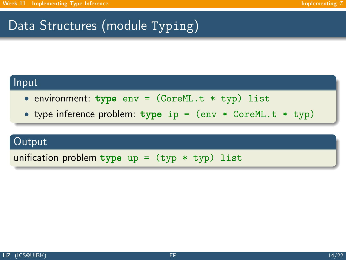#### Input

- environment: type  $env = (CoreML.t * typ)$  list
- type inference problem:  $type$  ip =  $(env * CoreML.t * typ)$

#### **Output**

unification problem type  $up = (typ * typ)$  list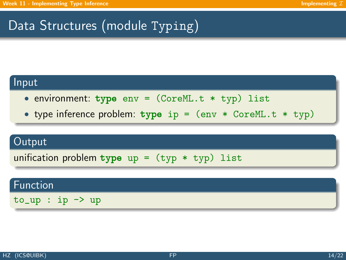#### Input

- environment: type  $env = (CoreML.t * typ)$  list
- type inference problem:  $type$  ip =  $(env * CoreML.t * typ)$

#### Output

unification problem type up =  $(typ * typ)$  list

#### Function

 $to_$  up : ip  $\rightarrow$  up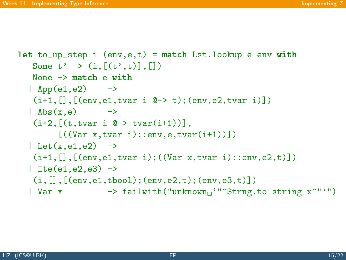```
let to_up_step i (env,e,t) = match Lst.lookup e env with
 | Some t' -> (i, [(t', t)].[])
 | None -> match e with
  \vert App(e1,e2) \vert ->
   (i+1, [], [ (env, e1, tvar i @{\rightarrow} t); (env, e2, tvar i)])
  \vert Abs(x,e) ->
   (i+2, [ (t, tvar i \ 0 \rightarrow tvar(i+1)) ],[((Var x, tvar i)::env, e, tvar(i+1))])| Let(x, e_1, e_2) ->
   (i+1, [], [(env,e1,tvar i); ((Var x, tvar i)::env,e2,t)])
  | Ite(e1,e2,e3) \rightarrow(i, [], [(env,e1,tbool);(env,e2,t);(env,e3,t)])
  | Var x \longrightarrow failwith("unknown<sub>1</sub>""^Strng.to_string x^"'")
```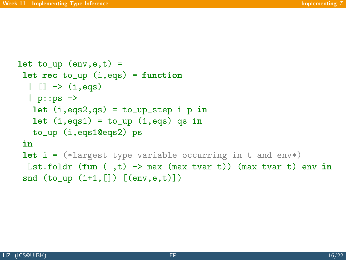```
let to_{up} (env,e,t) =
let rec to_up (i,eqs) = function
  | [] \rightarrow (i, eqs)| p::ps ->let (i,eqs2,qs) = to_np\_step i p inlet (i,eqs1) = to_np(i,eqs) qs in
   to_up (i,eqs1@eqs2) ps
 in
let i = (*\text{largest type variable occurring in t and env*)Lst.foldr (fun (,t) -> max (max_tvar t)) (max_tvar t) env in
 snd (to_up (i+1, []) [(env, e, t)])
```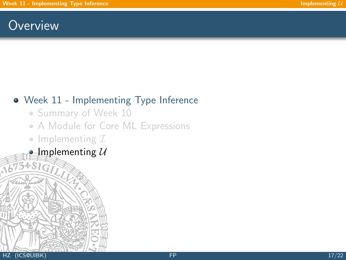## <span id="page-30-0"></span>**Overview**

## [Week 11 - Implementing Type Inference](#page-1-0)

- [Summary of Week 10](#page-2-0)
- [A Module for Core ML Expressions](#page-14-0)
- [Implementing](#page-19-0)  $I$
- [Implementing](#page-30-0)  $U$

34816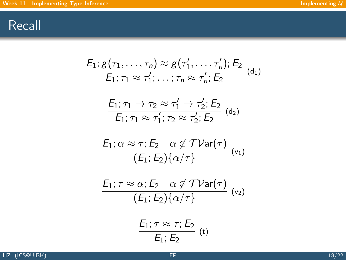## Recall

$$
E_1; g(\tau_1, \ldots, \tau_n) \approx g(\tau'_1, \ldots, \tau'_n); E_2
$$
\n
$$
E_1; \tau_1 \approx \tau'_1; \ldots; \tau_n \approx \tau'_n; E_2
$$
\n
$$
\frac{E_1; \tau_1 \to \tau_2 \approx \tau'_1 \to \tau'_2; E_2}{E_1; \tau_1 \approx \tau'_1; \tau_2 \approx \tau'_2; E_2}
$$
\n
$$
E_1; \alpha \approx \tau; E_2 \quad \alpha \notin \mathcal{TV}\text{ar}(\tau)
$$
\n
$$
\frac{E_1; \tau \approx \alpha; E_2 \quad \alpha \notin \mathcal{TV}\text{ar}(\tau)}{(E_1; E_2) \{\alpha/\tau\}}
$$
\n
$$
\frac{E_1; \tau \approx \alpha; E_2 \quad \alpha \notin \mathcal{TV}\text{ar}(\tau)}{(E_1; E_2) \{\alpha/\tau\}}
$$
\n
$$
\frac{E_1; \tau \approx \tau; E_2}{E_1; E_2}
$$
\n
$$
\frac{E_1; \tau \approx \tau; E_2}{E_1; E_2}
$$
\n
$$
(t)
$$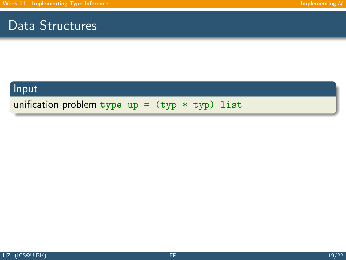## Data Structures

### Input

unification problem type  $up = (typ * typ)$  list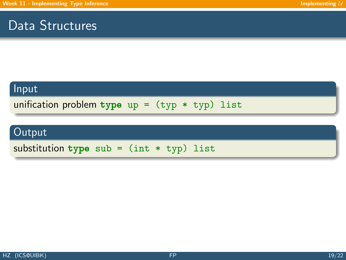## Data Structures

#### Input

unification problem type  $up = (typ * typ)$  list

## Output

substitution type sub =  $(int * typ)$  list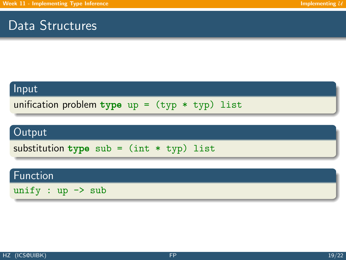## Data Structures

#### Input

unification problem type  $up = (typ * typ)$  list

## Output

substitution type sub =  $(int * typ)$  list

### Function

unify :  $up \rightarrow sub$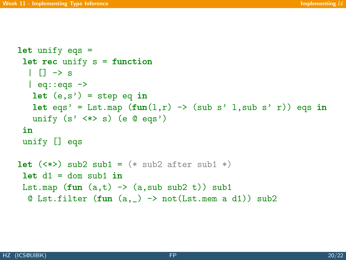```
let unify eqs =
 let rec unify s = function
  \| \| \rightarrow s
  | eq::eqs \rightarrowlet (e, s') = step eq in
   let eqs' = Lst.map (fun(1,r) \rightarrow (sub s' 1,sub s' r)) eqs in
   unify (s' \iff s) (e @ eqs')
 in
 unify [] eqs
let (\langle * \rangle) sub2 sub1 = (* sub2 after sub1 *)let d1 = dom \text{ sub1 in}Lst.map fun (a,t) \rightarrow (a, sub sub2 t) sub1
  \& Lst.filter (fun (a, ) -> not(Lst.mem a d1)) sub2
```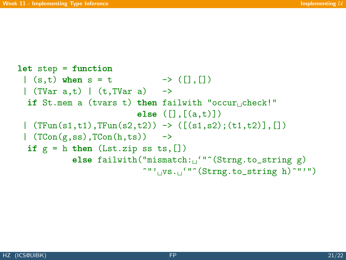```
let step = function
 |(s,t) when s = t \rightarrow ([1,1])
 | (TVar a,t) | (t, TVar a) ->
  if St.mem a (tvars t) then failwith "occur check!"
                              else (\lceil \cdot, \lceil (a,t) \rceil)|\text{TFun}(s1,t1),\text{TFun}(s2,t2)) \rightarrow ([(s1,s2);(t1,t2)],[]| (TCon(g,ss),TCon(h,ts)) \rightarrowif g = h then (Lst.zip ss ts, [])
             else failwith("mismatch:\frac{1}{10}"<sup>o</sup>(Strng.to_string g)
                               \gamma'' vs. \gamma'' (Strng.to_string h)\gamma''")
```